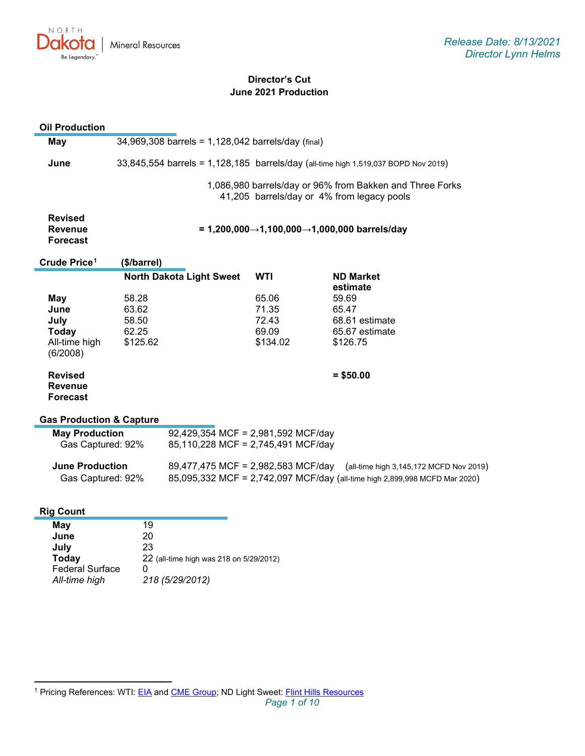

# **Director's Cut June 2021 Production**

| <b>Oil Production</b>                                            |                                                                                    |                                                                                                                                                             |                                              |                                                                                                        |
|------------------------------------------------------------------|------------------------------------------------------------------------------------|-------------------------------------------------------------------------------------------------------------------------------------------------------------|----------------------------------------------|--------------------------------------------------------------------------------------------------------|
| <b>May</b>                                                       |                                                                                    | 34,969,308 barrels = 1,128,042 barrels/day (final)                                                                                                          |                                              |                                                                                                        |
| June                                                             | 33,845,554 barrels = 1,128,185 barrels/day (all-time high 1,519,037 BOPD Nov 2019) |                                                                                                                                                             |                                              |                                                                                                        |
|                                                                  |                                                                                    |                                                                                                                                                             |                                              | 1,086,980 barrels/day or 96% from Bakken and Three Forks<br>41,205 barrels/day or 4% from legacy pools |
| <b>Revised</b><br><b>Revenue</b><br><b>Forecast</b>              |                                                                                    |                                                                                                                                                             |                                              | = 1,200,000→1,100,000→1,000,000 barrels/day                                                            |
| Crude Price <sup>1</sup>                                         | (\$/barrel)                                                                        |                                                                                                                                                             |                                              |                                                                                                        |
|                                                                  |                                                                                    | <b>North Dakota Light Sweet</b>                                                                                                                             | <b>WTI</b>                                   | <b>ND Market</b><br>estimate                                                                           |
| May<br>June<br>July<br><b>Today</b><br>All-time high<br>(6/2008) | 58.28<br>63.62<br>58.50<br>62.25<br>\$125.62                                       |                                                                                                                                                             | 65.06<br>71.35<br>72.43<br>69.09<br>\$134.02 | 59.69<br>65.47<br>68.61 estimate<br>65.67 estimate<br>\$126.75                                         |
| <b>Revised</b><br><b>Revenue</b><br>Forecast                     |                                                                                    |                                                                                                                                                             |                                              | $= $50.00$                                                                                             |
| <b>Gas Production &amp; Capture</b>                              |                                                                                    |                                                                                                                                                             |                                              |                                                                                                        |
| <b>May Production</b><br>Gas Captured: 92%                       |                                                                                    | 92,429,354 MCF = 2,981,592 MCF/day<br>85,110,228 MCF = 2,745,491 MCF/day                                                                                    |                                              |                                                                                                        |
| <b>June Production</b><br>Gas Captured: 92%                      |                                                                                    | 89,477,475 MCF = 2,982,583 MCF/day<br>(all-time high 3,145,172 MCFD Nov 2019)<br>85,095,332 MCF = 2,742,097 MCF/day (all-time high 2,899,998 MCFD Mar 2020) |                                              |                                                                                                        |
| <b>Rig Count</b>                                                 |                                                                                    |                                                                                                                                                             |                                              |                                                                                                        |
| May<br>June<br>July<br><b>Today</b><br><b>Federal Surface</b>    | 19<br>20<br>23<br>0                                                                | 22 (all-time high was 218 on 5/29/2012)                                                                                                                     |                                              |                                                                                                        |

*All-time high 218 (5/29/2012)*

<span id="page-0-0"></span><sup>&</sup>lt;sup>1</sup> Pricing References: WTI: [EIA](https://www.eia.gov/dnav/pet/hist/LeafHandler.ashx?n=PET&s=RCLC1&f=M) and [CME Group;](https://www.cmegroup.com/trading/energy/crude-oil/light-sweet-crude.html) ND Light Sweet: [Flint Hills Resources](https://www.fhr.com/products-services/fuels-and-aromatics)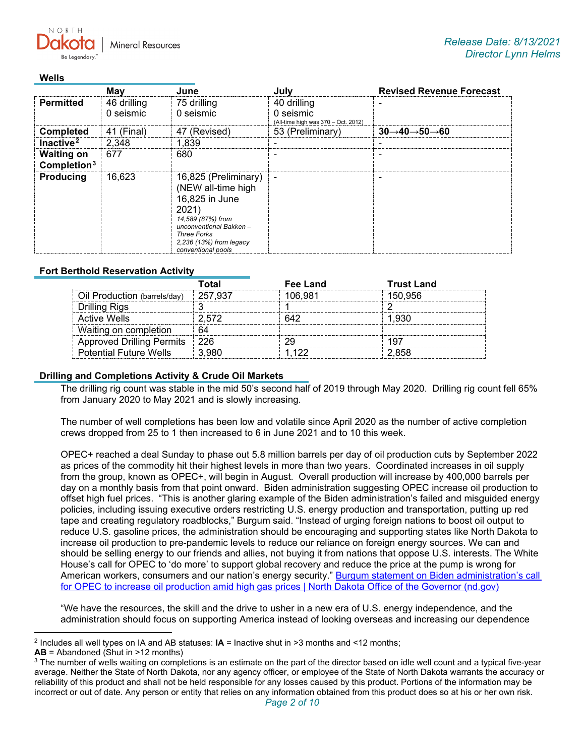**Mineral Resources** 

### **Wells**

 $N$   $\cap$   $R$   $T$   $\vdash$ 

|                                     | Mav         |                                                                                                                                                                                             |                                                  | <b>Revised Revenue Forecast</b> |
|-------------------------------------|-------------|---------------------------------------------------------------------------------------------------------------------------------------------------------------------------------------------|--------------------------------------------------|---------------------------------|
| <b>Permitted</b>                    | 46 drilling | 75 drilling                                                                                                                                                                                 | 40 drilling                                      |                                 |
|                                     | 0 seismic   | 0 seismic                                                                                                                                                                                   | 0 seismic<br>(All-time high was 370 - Oct. 2012) |                                 |
| <b>Completed</b>                    | 41 (Final)  | 47 (Revised)                                                                                                                                                                                | 53 (Preliminary)                                 | →60                             |
| Inactive <sup>2</sup>               | 2.348       | 1.839                                                                                                                                                                                       |                                                  |                                 |
| <b>Waiting on</b><br>Completion $3$ | 677         | 680                                                                                                                                                                                         |                                                  |                                 |
| <b>Producing</b>                    | 16.623      | 16,825 (Preliminary)<br>(NEW all-time high<br>16,825 in June<br>2021)<br>14,589 (87%) from<br>unconventional Bakken-<br><b>Three Forks</b><br>2,236 (13%) from legacy<br>conventional pools |                                                  |                                 |

# **Fort Berthold Reservation Activity**

|                                  | ั∩tal   | Fee Land | <b>Trust Land</b> |  |
|----------------------------------|---------|----------|-------------------|--|
| Oil Production (barrels/day)     | 257 937 | 106.981  | 150.956           |  |
| Drilling Rigs                    |         |          |                   |  |
| Active Wells                     |         |          |                   |  |
| Waiting on completion            |         |          |                   |  |
| <b>Approved Drilling Permits</b> |         |          |                   |  |
| <b>Potential Future Wells</b>    |         |          |                   |  |

## **Drilling and Completions Activity & Crude Oil Markets**

The drilling rig count was stable in the mid 50's second half of 2019 through May 2020. Drilling rig count fell 65% from January 2020 to May 2021 and is slowly increasing.

The number of well completions has been low and volatile since April 2020 as the number of active completion crews dropped from 25 to 1 then increased to 6 in June 2021 and to 10 this week.

OPEC+ reached a deal Sunday to phase out 5.8 million barrels per day of oil production cuts by September 2022 as prices of the commodity hit their highest levels in more than two years. Coordinated increases in oil supply from the group, known as OPEC+, will begin in August. Overall production will increase by 400,000 barrels per day on a monthly basis from that point onward. Biden administration suggesting OPEC increase oil production to offset high fuel prices. "This is another glaring example of the Biden administration's failed and misguided energy policies, including issuing executive orders restricting U.S. energy production and transportation, putting up red tape and creating regulatory roadblocks," Burgum said. "Instead of urging foreign nations to boost oil output to reduce U.S. gasoline prices, the administration should be encouraging and supporting states like North Dakota to increase oil production to pre-pandemic levels to reduce our reliance on foreign energy sources. We can and should be selling energy to our friends and allies, not buying it from nations that oppose U.S. interests. The White House's call for OPEC to 'do more' to support global recovery and reduce the price at the pump is wrong for American workers, consumers and our nation's energy security." Burgum statement on Biden administration's call [for OPEC to increase oil production amid high gas prices | North Dakota Office of the Governor \(nd.gov\)](https://www.governor.nd.gov/news/burgum-statement-biden-administrations-call-opec-increase-oil-production-amid-high-gas-prices)

"We have the resources, the skill and the drive to usher in a new era of U.S. energy independence, and the administration should focus on supporting America instead of looking overseas and increasing our dependence

<span id="page-1-0"></span><sup>2</sup> Includes all well types on IA and AB statuses: **IA** = Inactive shut in >3 months and <12 months;

**AB** = Abandoned (Shut in >12 months)

<span id="page-1-1"></span><sup>&</sup>lt;sup>3</sup> The number of wells waiting on completions is an estimate on the part of the director based on idle well count and a typical five-year average. Neither the State of North Dakota, nor any agency officer, or employee of the State of North Dakota warrants the accuracy or reliability of this product and shall not be held responsible for any losses caused by this product. Portions of the information may be incorrect or out of date. Any person or entity that relies on any information obtained from this product does so at his or her own risk.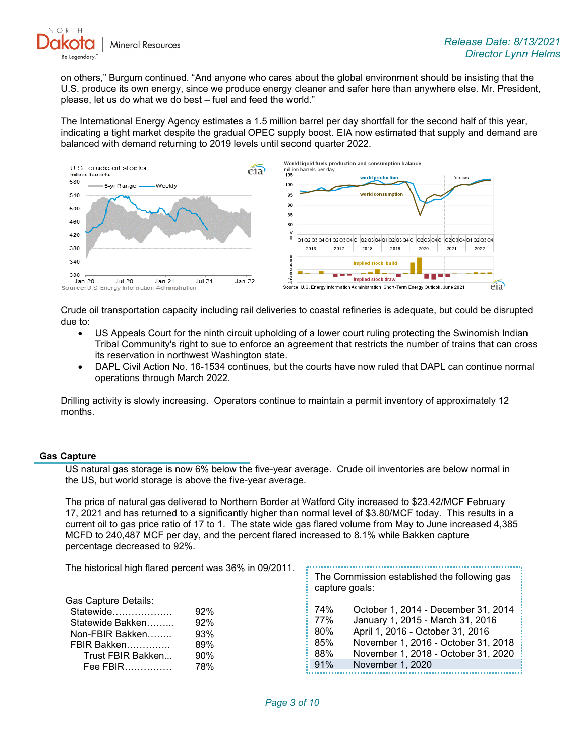

on others," Burgum continued. "And anyone who cares about the global environment should be insisting that the U.S. produce its own energy, since we produce energy cleaner and safer here than anywhere else. Mr. President, please, let us do what we do best – fuel and feed the world."

The International Energy Agency estimates a 1.5 million barrel per day shortfall for the second half of this year, indicating a tight market despite the gradual OPEC supply boost. EIA now estimated that supply and demand are balanced with demand returning to 2019 levels until second quarter 2022.



Crude oil transportation capacity including rail deliveries to coastal refineries is adequate, but could be disrupted due to:

- US Appeals Court for the ninth circuit upholding of a lower court ruling protecting the Swinomish Indian Tribal Community's right to sue to enforce an agreement that restricts the number of trains that can cross its reservation in northwest Washington state.
- DAPL Civil Action No. 16-1534 continues, but the courts have now ruled that DAPL can continue normal operations through March 2022.

Drilling activity is slowly increasing. Operators continue to maintain a permit inventory of approximately 12 months.

## **Gas Capture**

US natural gas storage is now 6% below the five-year average. Crude oil inventories are below normal in the US, but world storage is above the five-year average.

The price of natural gas delivered to Northern Border at Watford City increased to \$23.42/MCF February 17, 2021 and has returned to a significantly higher than normal level of \$3.80/MCF today. This results in a current oil to gas price ratio of 17 to 1. The state wide gas flared volume from May to June increased 4,385 MCFD to 240,487 MCF per day, and the percent flared increased to 8.1% while Bakken capture percentage decreased to 92%.

 $\frac{1}{2}$  The Commission established the following gas

The historical high flared percent was 36% in 09/2011.

|                                                                                                                          |                                        | capture goals:                                                                     | ັບ                                                                                                                                                                                                            |
|--------------------------------------------------------------------------------------------------------------------------|----------------------------------------|------------------------------------------------------------------------------------|---------------------------------------------------------------------------------------------------------------------------------------------------------------------------------------------------------------|
| Gas Capture Details:<br>Statewide<br>Statewide Bakken<br>Non-FBIR Bakken<br>FBIR Bakken<br>Trust FBIR Bakken<br>Fee FBIR | 92%<br>92%<br>93%<br>89%<br>90%<br>78% | $\frac{1}{2}$ 74%<br>$: 77\%$<br>$\approx 80\%$<br>85%<br>88%<br>$\frac{1}{2}$ 91% | October 1, 2014 - December 31, 2014<br>January 1, 2015 - March 31, 2016<br>April 1, 2016 - October 31, 2016<br>November 1, 2016 - October 31, 2018<br>November 1, 2018 - October 31, 2020<br>November 1, 2020 |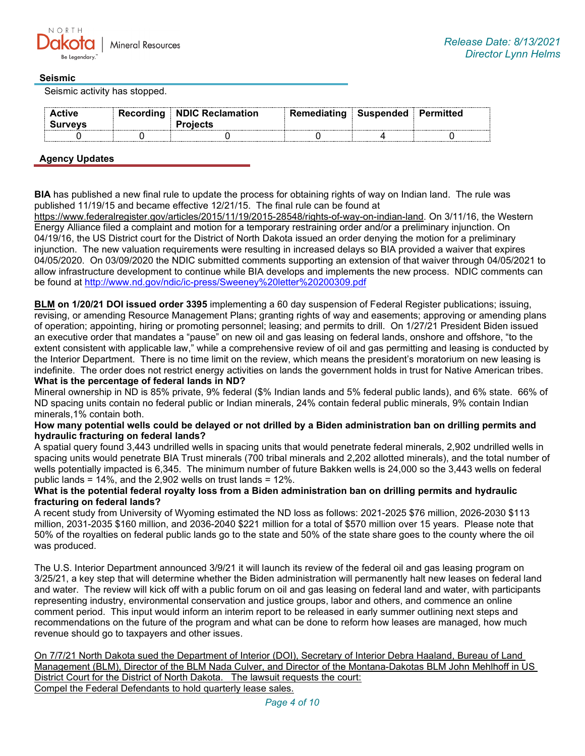

## **Seismic**

Seismic activity has stopped.

| <b>Active</b> | Recording<br>$\sim$ | ⊪ NDIC Reclamation | Remediating | Susnended |  |  |
|---------------|---------------------|--------------------|-------------|-----------|--|--|
|               |                     |                    |             |           |  |  |

## **Agency Updates**

**BIA** has published a new final rule to update the process for obtaining rights of way on Indian land. The rule was published 11/19/15 and became effective 12/21/15. The final rule can be found at

[https://www.federalregister.gov/articles/2015/11/19/2015-28548/rights-of-way-on-indian-land.](https://gcc02.safelinks.protection.outlook.com/?url=https%3A%2F%2Fwww.federalregister.gov%2Farticles%2F2015%2F11%2F19%2F2015-28548%2Frights-of-way-on-indian-land&data=04%7C01%7Ckahaarsager%40nd.gov%7C6cf12c7622b04af0345608d94badc2d0%7C2dea0464da514a88bae2b3db94bc0c54%7C0%7C0%7C637624031935573790%7CUnknown%7CTWFpbGZsb3d8eyJWIjoiMC4wLjAwMDAiLCJQIjoiV2luMzIiLCJBTiI6Ik1haWwiLCJXVCI6Mn0%3D%7C1000&sdata=RXsy6e3uu7%2BCyVDZyN3Bu%2B8yq2sUt3LEca020OTMLcs%3D&reserved=0) On 3/11/16, the Western Energy Alliance filed a complaint and motion for a temporary restraining order and/or a preliminary injunction. On 04/19/16, the US District court for the District of North Dakota issued an order denying the motion for a preliminary injunction. The new valuation requirements were resulting in increased delays so BIA provided a waiver that expires 04/05/2020. On 03/09/2020 the NDIC submitted comments supporting an extension of that waiver through 04/05/2021 to allow infrastructure development to continue while BIA develops and implements the new process. NDIC comments can be found at<http://www.nd.gov/ndic/ic-press/Sweeney%20letter%20200309.pdf>

**BLM on 1/20/21 DOI issued order 3395** implementing a 60 day suspension of Federal Register publications; issuing, revising, or amending Resource Management Plans; granting rights of way and easements; approving or amending plans of operation; appointing, hiring or promoting personnel; leasing; and permits to drill. On 1/27/21 President Biden issued an executive order that mandates a "pause" on new oil and gas leasing on federal lands, onshore and offshore, "to the extent consistent with applicable law," while a comprehensive review of oil and gas permitting and leasing is conducted by the Interior Department. There is no time limit on the review, which means the president's moratorium on new leasing is indefinite. The order does not restrict energy activities on lands the government holds in trust for Native American tribes. **What is the percentage of federal lands in ND?**

Mineral ownership in ND is 85% private, 9% federal (\$% Indian lands and 5% federal public lands), and 6% state. 66% of ND spacing units contain no federal public or Indian minerals, 24% contain federal public minerals, 9% contain Indian minerals,1% contain both.

### **How many potential wells could be delayed or not drilled by a Biden administration ban on drilling permits and hydraulic fracturing on federal lands?**

A spatial query found 3,443 undrilled wells in spacing units that would penetrate federal minerals, 2,902 undrilled wells in spacing units would penetrate BIA Trust minerals (700 tribal minerals and 2,202 allotted minerals), and the total number of wells potentially impacted is 6,345. The minimum number of future Bakken wells is 24,000 so the 3,443 wells on federal public lands = 14%, and the 2,902 wells on trust lands = 12%.

### **What is the potential federal royalty loss from a Biden administration ban on drilling permits and hydraulic fracturing on federal lands?**

A recent study from University of Wyoming estimated the ND loss as follows: 2021-2025 \$76 million, 2026-2030 \$113 million, 2031-2035 \$160 million, and 2036-2040 \$221 million for a total of \$570 million over 15 years. Please note that 50% of the royalties on federal public lands go to the state and 50% of the state share goes to the county where the oil was produced.

The U.S. Interior Department announced 3/9/21 it will launch its review of the federal oil and gas leasing program on 3/25/21, a key step that will determine whether the Biden administration will permanently halt new leases on federal land and water. The review will kick off with a public forum on oil and gas leasing on federal land and water, with participants representing industry, environmental conservation and justice groups, labor and others, and commence an online comment period. This input would inform an interim report to be released in early summer outlining next steps and recommendations on the future of the program and what can be done to reform how leases are managed, how much revenue should go to taxpayers and other issues.

On 7/7/21 North Dakota sued the Department of Interior (DOI), Secretary of Interior Debra Haaland, Bureau of Land Management (BLM), Director of the BLM Nada Culver, and Director of the Montana-Dakotas BLM John Mehlhoff in US District Court for the District of North Dakota. The lawsuit requests the court: Compel the Federal Defendants to hold quarterly lease sales.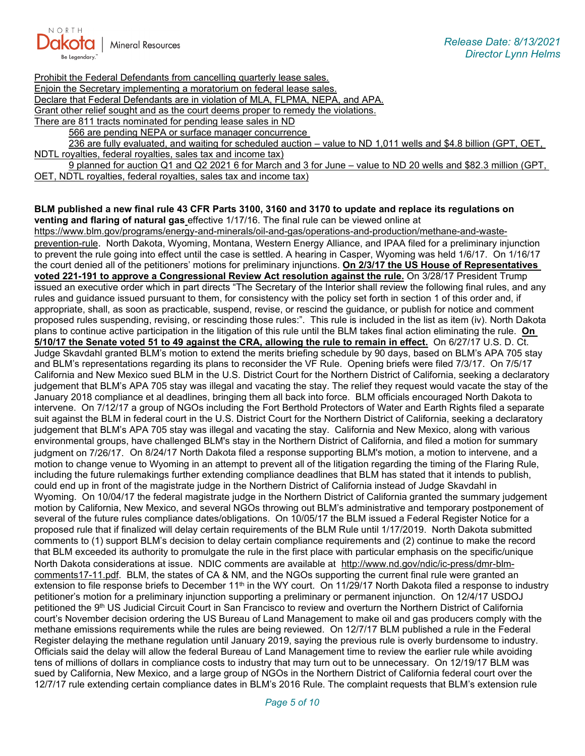

Prohibit the Federal Defendants from cancelling quarterly lease sales. Enjoin the Secretary implementing a moratorium on federal lease sales. Declare that Federal Defendants are in violation of MLA, FLPMA, NEPA, and APA. Grant other relief sought and as the court deems proper to remedy the violations. There are 811 tracts nominated for pending lease sales in ND

566 are pending NEPA or surface manager concurrence

236 are fully evaluated, and waiting for scheduled auction – value to ND 1,011 wells and \$4.8 billion (GPT, OET, NDTL royalties, federal royalties, sales tax and income tax)

9 planned for auction Q1 and Q2 2021 6 for March and 3 for June – value to ND 20 wells and \$82.3 million (GPT, OET, NDTL royalties, federal royalties, sales tax and income tax)

#### **BLM published a new final rule 43 CFR Parts 3100, 3160 and 3170 to update and replace its regulations on venting and flaring of natural gas** effective 1/17/16. The final rule can be viewed online at

[https://www.blm.gov/programs/energy-and-minerals/oil-and-gas/operations-and-production/methane-and-waste](https://gcc02.safelinks.protection.outlook.com/?url=https%3A%2F%2Fwww.blm.gov%2Fprograms%2Fenergy-and-minerals%2Foil-and-gas%2Foperations-and-production%2Fmethane-and-waste-prevention-rule&data=04%7C01%7Ckahaarsager%40nd.gov%7C6cf12c7622b04af0345608d94badc2d0%7C2dea0464da514a88bae2b3db94bc0c54%7C0%7C0%7C637624031935583717%7CUnknown%7CTWFpbGZsb3d8eyJWIjoiMC4wLjAwMDAiLCJQIjoiV2luMzIiLCJBTiI6Ik1haWwiLCJXVCI6Mn0%3D%7C1000&sdata=d9JIwQbaqJ8ywp71jg4%2B52p7lAn407o1f%2FWbPlXp0nU%3D&reserved=0)[prevention-rule.](https://gcc02.safelinks.protection.outlook.com/?url=https%3A%2F%2Fwww.blm.gov%2Fprograms%2Fenergy-and-minerals%2Foil-and-gas%2Foperations-and-production%2Fmethane-and-waste-prevention-rule&data=04%7C01%7Ckahaarsager%40nd.gov%7C6cf12c7622b04af0345608d94badc2d0%7C2dea0464da514a88bae2b3db94bc0c54%7C0%7C0%7C637624031935583717%7CUnknown%7CTWFpbGZsb3d8eyJWIjoiMC4wLjAwMDAiLCJQIjoiV2luMzIiLCJBTiI6Ik1haWwiLCJXVCI6Mn0%3D%7C1000&sdata=d9JIwQbaqJ8ywp71jg4%2B52p7lAn407o1f%2FWbPlXp0nU%3D&reserved=0) North Dakota, Wyoming, Montana, Western Energy Alliance, and IPAA filed for a preliminary injunction to prevent the rule going into effect until the case is settled. A hearing in Casper, Wyoming was held 1/6/17. On 1/16/17 the court denied all of the petitioners' motions for preliminary injunctions. **On 2/3/17 the US House of Representatives voted 221-191 to approve a Congressional Review Act resolution against the rule.** On 3/28/17 President Trump issued an executive order which in part directs "The Secretary of the Interior shall review the following final rules, and any rules and guidance issued pursuant to them, for consistency with the policy set forth in section 1 of this order and, if appropriate, shall, as soon as practicable, suspend, revise, or rescind the guidance, or publish for notice and comment proposed rules suspending, revising, or rescinding those rules:". This rule is included in the list as item (iv). North Dakota plans to continue active participation in the litigation of this rule until the BLM takes final action eliminating the rule. **On 5/10/17 the Senate voted 51 to 49 against the CRA, allowing the rule to remain in effect.** On 6/27/17 U.S. D. Ct. Judge Skavdahl granted BLM's motion to extend the merits briefing schedule by 90 days, based on BLM's APA 705 stay and BLM's representations regarding its plans to reconsider the VF Rule. Opening briefs were filed 7/3/17. On 7/5/17 California and New Mexico sued BLM in the U.S. District Court for the Northern District of California, seeking a declaratory judgement that BLM's APA 705 stay was illegal and vacating the stay. The relief they request would vacate the stay of the January 2018 compliance et al deadlines, bringing them all back into force. BLM officials encouraged North Dakota to intervene. On 7/12/17 a group of NGOs including the Fort Berthold Protectors of Water and Earth Rights filed a separate suit against the BLM in federal court in the U.S. District Court for the Northern District of California, seeking a declaratory judgement that BLM's APA 705 stay was illegal and vacating the stay. California and New Mexico, along with various environmental groups, have challenged BLM's stay in the Northern District of California, and filed a motion for summary judgment on 7/26/17. On 8/24/17 North Dakota filed a response supporting BLM's motion, a motion to intervene, and a motion to change venue to Wyoming in an attempt to prevent all of the litigation regarding the timing of the Flaring Rule, including the future rulemakings further extending compliance deadlines that BLM has stated that it intends to publish, could end up in front of the magistrate judge in the Northern District of California instead of Judge Skavdahl in Wyoming. On 10/04/17 the federal magistrate judge in the Northern District of California granted the summary judgement motion by California, New Mexico, and several NGOs throwing out BLM's administrative and temporary postponement of several of the future rules compliance dates/obligations. On 10/05/17 the BLM issued a Federal Register Notice for a proposed rule that if finalized will delay certain requirements of the BLM Rule until 1/17/2019. North Dakota submitted comments to (1) support BLM's decision to delay certain compliance requirements and (2) continue to make the record that BLM exceeded its authority to promulgate the rule in the first place with particular emphasis on the specific/unique North Dakota considerations at issue. NDIC comments are available at [http://www.nd.gov/ndic/ic-press/dmr-blm](http://www.nd.gov/ndic/ic-press/dmr-blm-comments17-11.pdf)[comments17-11.pdf.](http://www.nd.gov/ndic/ic-press/dmr-blm-comments17-11.pdf) BLM, the states of CA & NM, and the NGOs supporting the current final rule were granted an extension to file response briefs to December  $11<sup>th</sup>$  in the WY court. On  $11/29/17$  North Dakota filed a response to industry petitioner's motion for a preliminary injunction supporting a preliminary or permanent injunction. On 12/4/17 USDOJ petitioned the 9<sup>th</sup> US Judicial Circuit Court in San Francisco to review and overturn the Northern District of California court's November decision ordering the US Bureau of Land Management to make oil and gas producers comply with the methane emissions requirements while the rules are being reviewed. On 12/7/17 BLM published a rule in the Federal Register delaying the methane regulation until January 2019, saying the previous rule is overly burdensome to industry. Officials said the delay will allow the federal Bureau of Land Management time to review the earlier rule while avoiding tens of millions of dollars in compliance costs to industry that may turn out to be unnecessary. On 12/19/17 BLM was sued by California, New Mexico, and a large group of NGOs in the Northern District of California federal court over the 12/7/17 rule extending certain compliance dates in BLM's 2016 Rule. The complaint requests that BLM's extension rule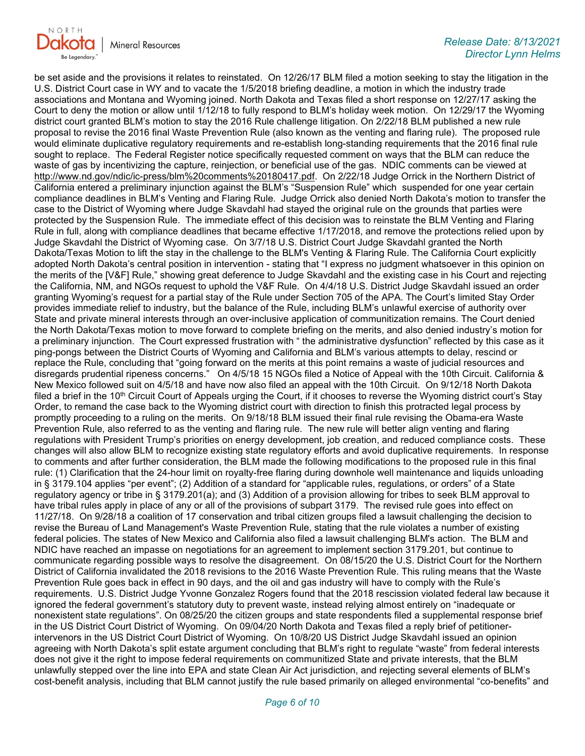

be set aside and the provisions it relates to reinstated. On 12/26/17 BLM filed a motion seeking to stay the litigation in the U.S. District Court case in WY and to vacate the 1/5/2018 briefing deadline, a motion in which the industry trade associations and Montana and Wyoming joined. North Dakota and Texas filed a short response on 12/27/17 asking the Court to deny the motion or allow until 1/12/18 to fully respond to BLM's holiday week motion. On 12/29/17 the Wyoming district court granted BLM's motion to stay the 2016 Rule challenge litigation. On 2/22/18 BLM published a new rule proposal to revise the 2016 final Waste Prevention Rule (also known as the venting and flaring rule). The proposed rule would eliminate duplicative regulatory requirements and re-establish long-standing requirements that the 2016 final rule sought to replace. The Federal Register notice specifically requested comment on ways that the BLM can reduce the waste of gas by incentivizing the capture, reinjection, or beneficial use of the gas. NDIC comments can be viewed at [http://www.nd.gov/ndic/ic-press/blm%20comments%20180417.pdf.](http://www.nd.gov/ndic/ic-press/blm%20comments%20180417.pdf) On 2/22/18 Judge Orrick in the Northern District of California entered a preliminary injunction against the BLM's "Suspension Rule" which suspended for one year certain compliance deadlines in BLM's Venting and Flaring Rule. Judge Orrick also denied North Dakota's motion to transfer the case to the District of Wyoming where Judge Skavdahl had stayed the original rule on the grounds that parties were protected by the Suspension Rule. The immediate effect of this decision was to reinstate the BLM Venting and Flaring Rule in full, along with compliance deadlines that became effective 1/17/2018, and remove the protections relied upon by Judge Skavdahl the District of Wyoming case. On 3/7/18 U.S. District Court Judge Skavdahl granted the North Dakota/Texas Motion to lift the stay in the challenge to the BLM's Venting & Flaring Rule. The California Court explicitly adopted North Dakota's central position in intervention - stating that "I express no judgment whatsoever in this opinion on the merits of the [V&F] Rule," showing great deference to Judge Skavdahl and the existing case in his Court and rejecting the California, NM, and NGOs request to uphold the V&F Rule. On 4/4/18 U.S. District Judge Skavdahl issued an order granting Wyoming's request for a partial stay of the Rule under Section 705 of the APA. The Court's limited Stay Order provides immediate relief to industry, but the balance of the Rule, including BLM's unlawful exercise of authority over State and private mineral interests through an over-inclusive application of communitization remains. The Court denied the North Dakota/Texas motion to move forward to complete briefing on the merits, and also denied industry's motion for a preliminary injunction. The Court expressed frustration with " the administrative dysfunction" reflected by this case as it ping-pongs between the District Courts of Wyoming and California and BLM's various attempts to delay, rescind or replace the Rule, concluding that "going forward on the merits at this point remains a waste of judicial resources and disregards prudential ripeness concerns." On 4/5/18 15 NGOs filed a Notice of Appeal with the 10th Circuit. California & New Mexico followed suit on 4/5/18 and have now also filed an appeal with the 10th Circuit. On 9/12/18 North Dakota filed a brief in the  $10<sup>th</sup>$  Circuit Court of Appeals urging the Court, if it chooses to reverse the Wyoming district court's Stay Order, to remand the case back to the Wyoming district court with direction to finish this protracted legal process by promptly proceeding to a ruling on the merits. On 9/18/18 BLM issued their final rule revising the Obama-era Waste Prevention Rule, also referred to as the venting and flaring rule. The new rule will better align venting and flaring regulations with President Trump's priorities on energy development, job creation, and reduced compliance costs. These changes will also allow BLM to recognize existing state regulatory efforts and avoid duplicative requirements. In response to comments and after further consideration, the BLM made the following modifications to the proposed rule in this final rule: (1) Clarification that the 24-hour limit on royalty-free flaring during downhole well maintenance and liquids unloading in § 3179.104 applies "per event"; (2) Addition of a standard for "applicable rules, regulations, or orders" of a State regulatory agency or tribe in § 3179.201(a); and (3) Addition of a provision allowing for tribes to seek BLM approval to have tribal rules apply in place of any or all of the provisions of subpart 3179. The revised rule goes into effect on 11/27/18. On 9/28/18 a coalition of 17 conservation and tribal citizen groups filed a lawsuit challenging the decision to revise the Bureau of Land Management's Waste Prevention Rule, stating that the rule violates a number of existing federal policies. The states of New Mexico and California also filed a lawsuit challenging BLM's action. The BLM and NDIC have reached an impasse on negotiations for an agreement to implement section 3179.201, but continue to communicate regarding possible ways to resolve the disagreement. On 08/15/20 the U.S. District Court for the Northern District of California invalidated the 2018 revisions to the 2016 Waste Prevention Rule. This ruling means that the Waste Prevention Rule goes back in effect in 90 days, and the oil and gas industry will have to comply with the Rule's requirements. U.S. District Judge Yvonne Gonzalez Rogers found that the 2018 rescission violated federal law because it ignored the federal government's statutory duty to prevent waste, instead relying almost entirely on "inadequate or nonexistent state regulations". On 08/25/20 the citizen groups and state respondents filed a supplemental response brief in the US District Court District of Wyoming. On 09/04/20 North Dakota and Texas filed a reply brief of petitionerintervenors in the US District Court District of Wyoming. On 10/8/20 US District Judge Skavdahl issued an opinion agreeing with North Dakota's split estate argument concluding that BLM's right to regulate "waste" from federal interests does not give it the right to impose federal requirements on communitized State and private interests, that the BLM unlawfully stepped over the line into EPA and state Clean Air Act jurisdiction, and rejecting several elements of BLM's cost-benefit analysis, including that BLM cannot justify the rule based primarily on alleged environmental "co-benefits" and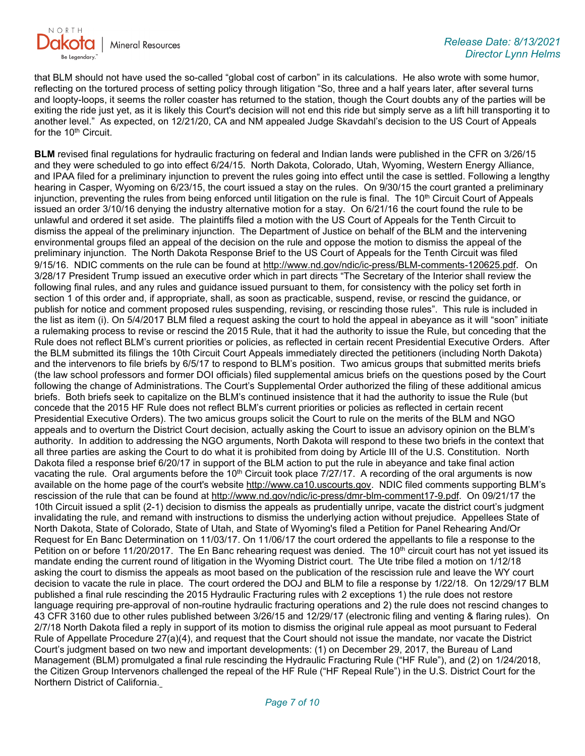

that BLM should not have used the so-called "global cost of carbon" in its calculations. He also wrote with some humor, reflecting on the tortured process of setting policy through litigation "So, three and a half years later, after several turns and loopty-loops, it seems the roller coaster has returned to the station, though the Court doubts any of the parties will be exiting the ride just yet, as it is likely this Court's decision will not end this ride but simply serve as a lift hill transporting it to another level." As expected, on 12/21/20, CA and NM appealed Judge Skavdahl's decision to the US Court of Appeals for the 10<sup>th</sup> Circuit.

**BLM** revised final regulations for hydraulic fracturing on federal and Indian lands were published in the CFR on 3/26/15 and they were scheduled to go into effect 6/24/15. North Dakota, Colorado, Utah, Wyoming, Western Energy Alliance, and IPAA filed for a preliminary injunction to prevent the rules going into effect until the case is settled. Following a lengthy hearing in Casper, Wyoming on 6/23/15, the court issued a stay on the rules. On 9/30/15 the court granted a preliminary injunction, preventing the rules from being enforced until litigation on the rule is final. The 10<sup>th</sup> Circuit Court of Appeals issued an order 3/10/16 denying the industry alternative motion for a stay. On 6/21/16 the court found the rule to be unlawful and ordered it set aside. The plaintiffs filed a motion with the US Court of Appeals for the Tenth Circuit to dismiss the appeal of the preliminary injunction. The Department of Justice on behalf of the BLM and the intervening environmental groups filed an appeal of the decision on the rule and oppose the motion to dismiss the appeal of the preliminary injunction. The North Dakota Response Brief to the US Court of Appeals for the Tenth Circuit was filed 9/15/16. NDIC comments on the rule can be found at [http://www.nd.gov/ndic/ic-press/BLM-comments-120625.pdf.](http://www.nd.gov/ndic/ic-press/BLM-comments-120625.pdf) On 3/28/17 President Trump issued an executive order which in part directs "The Secretary of the Interior shall review the following final rules, and any rules and guidance issued pursuant to them, for consistency with the policy set forth in section 1 of this order and, if appropriate, shall, as soon as practicable, suspend, revise, or rescind the guidance, or publish for notice and comment proposed rules suspending, revising, or rescinding those rules". This rule is included in the list as item (i). On 5/4/2017 BLM filed a request asking the court to hold the appeal in abeyance as it will "soon" initiate a rulemaking process to revise or rescind the 2015 Rule, that it had the authority to issue the Rule, but conceding that the Rule does not reflect BLM's current priorities or policies, as reflected in certain recent Presidential Executive Orders. After the BLM submitted its filings the 10th Circuit Court Appeals immediately directed the petitioners (including North Dakota) and the intervenors to file briefs by 6/5/17 to respond to BLM's position. Two amicus groups that submitted merits briefs (the law school professors and former DOI officials) filed supplemental amicus briefs on the questions posed by the Court following the change of Administrations. The Court's Supplemental Order authorized the filing of these additional amicus briefs. Both briefs seek to capitalize on the BLM's continued insistence that it had the authority to issue the Rule (but concede that the 2015 HF Rule does not reflect BLM's current priorities or policies as reflected in certain recent Presidential Executive Orders). The two amicus groups solicit the Court to rule on the merits of the BLM and NGO appeals and to overturn the District Court decision, actually asking the Court to issue an advisory opinion on the BLM's authority. In addition to addressing the NGO arguments, North Dakota will respond to these two briefs in the context that all three parties are asking the Court to do what it is prohibited from doing by Article III of the U.S. Constitution. North Dakota filed a response brief 6/20/17 in support of the BLM action to put the rule in abeyance and take final action vacating the rule. Oral arguments before the 10<sup>th</sup> Circuit took place  $7/27/17$ . A recording of the oral arguments is now available on the home page of the court's website [http://www.ca10.uscourts.gov.](https://gcc02.safelinks.protection.outlook.com/?url=https%3A%2F%2Furldefense.proofpoint.com%2Fv2%2Furl%3Fu%3Dhttp-3A__www.ca10.uscourts.gov%26d%3DDwMGaQ%26c%3D2s2mvbfY0UoSKkl6_Ol9wg%26r%3D-wqsZnBxny594KY8HeElow%26m%3DUl_VtJUX6iW5pvHjCcBxUWtskC0F4Dhry3sPtcEHvCw%26s%3DlaRHiLDv5w8otcQWQjpn82WMieoB2AZ-Q4M1LFQPL5s%26e%3D&data=04%7C01%7Ckahaarsager%40nd.gov%7C6cf12c7622b04af0345608d94badc2d0%7C2dea0464da514a88bae2b3db94bc0c54%7C0%7C0%7C637624031935583717%7CUnknown%7CTWFpbGZsb3d8eyJWIjoiMC4wLjAwMDAiLCJQIjoiV2luMzIiLCJBTiI6Ik1haWwiLCJXVCI6Mn0%3D%7C1000&sdata=Fynsq2owgKOzrR44eBwh9iHAbfgAAtS2II4seszpte4%3D&reserved=0) NDIC filed comments supporting BLM's rescission of the rule that can be found at [http://www.nd.gov/ndic/ic-press/dmr-blm-comment17-9.pdf.](http://www.nd.gov/ndic/ic-press/dmr-blm-comment17-9.pdf) On 09/21/17 the 10th Circuit issued a split (2-1) decision to dismiss the appeals as prudentially unripe, vacate the district court's judgment invalidating the rule, and remand with instructions to dismiss the underlying action without prejudice. Appellees State of North Dakota, State of Colorado, State of Utah, and State of Wyoming's filed a Petition for Panel Rehearing And/Or Request for En Banc Determination on 11/03/17. On 11/06/17 the court ordered the appellants to file a response to the Petition on or before 11/20/2017. The En Banc rehearing request was denied. The 10<sup>th</sup> circuit court has not yet issued its mandate ending the current round of litigation in the Wyoming District court. The Ute tribe filed a motion on 1/12/18 asking the court to dismiss the appeals as moot based on the publication of the rescission rule and leave the WY court decision to vacate the rule in place. The court ordered the DOJ and BLM to file a response by 1/22/18. On 12/29/17 BLM published a final rule rescinding the 2015 Hydraulic Fracturing rules with 2 exceptions 1) the rule does not restore language requiring pre-approval of non-routine hydraulic fracturing operations and 2) the rule does not rescind changes to 43 CFR 3160 due to other rules published between 3/26/15 and 12/29/17 (electronic filing and venting & flaring rules). On 2/7/18 North Dakota filed a reply in support of its motion to dismiss the original rule appeal as moot pursuant to Federal Rule of Appellate Procedure 27(a)(4), and request that the Court should not issue the mandate, nor vacate the District Court's judgment based on two new and important developments: (1) on December 29, 2017, the Bureau of Land Management (BLM) promulgated a final rule rescinding the Hydraulic Fracturing Rule ("HF Rule"), and (2) on 1/24/2018, the Citizen Group Intervenors challenged the repeal of the HF Rule ("HF Repeal Rule") in the U.S. District Court for the Northern District of California.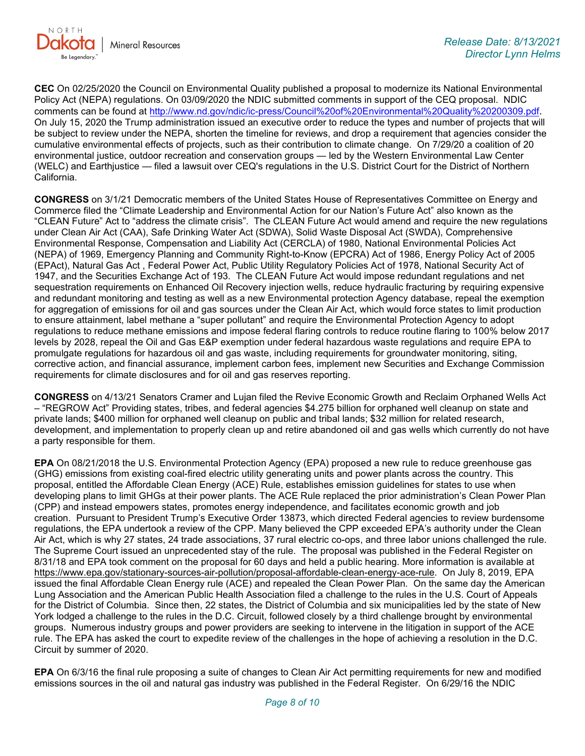

**CEC** On 02/25/2020 the Council on Environmental Quality published a proposal to modernize its National Environmental Policy Act (NEPA) regulations. On 03/09/2020 the NDIC submitted comments in support of the CEQ proposal. NDIC comments can be found at [http://www.nd.gov/ndic/ic-press/Council%20of%20Environmental%20Quality%20200309.pdf.](http://www.nd.gov/ndic/ic-press/Council%20of%20Environmental%20Quality%20200309.pdf) On July 15, 2020 the Trump administration issued an executive order to reduce the types and number of projects that will be subject to review under the NEPA, shorten the timeline for reviews, and drop a requirement that agencies consider the cumulative environmental effects of projects, such as their contribution to climate change. On 7/29/20 a coalition of 20 environmental justice, outdoor recreation and conservation groups — led by the Western Environmental Law Center (WELC) and Earthjustice — filed a lawsuit over CEQ's regulations in the U.S. District Court for the District of Northern California.

**CONGRESS** on 3/1/21 Democratic members of the United States House of Representatives Committee on Energy and Commerce filed the "Climate Leadership and Environmental Action for our Nation's Future Act" also known as the "CLEAN Future" Act to "address the climate crisis". The CLEAN Future Act would amend and require the new regulations under Clean Air Act (CAA), Safe Drinking Water Act (SDWA), Solid Waste Disposal Act (SWDA), Comprehensive Environmental Response, Compensation and Liability Act (CERCLA) of 1980, National Environmental Policies Act (NEPA) of 1969, Emergency Planning and Community Right-to-Know (EPCRA) Act of 1986, Energy Policy Act of 2005 (EPAct), Natural Gas Act , Federal Power Act, Public Utility Regulatory Policies Act of 1978, National Security Act of 1947, and the Securities Exchange Act of 193. The CLEAN Future Act would impose redundant regulations and net sequestration requirements on Enhanced Oil Recovery injection wells, reduce hydraulic fracturing by requiring expensive and redundant monitoring and testing as well as a new Environmental protection Agency database, repeal the exemption for aggregation of emissions for oil and gas sources under the Clean Air Act, which would force states to limit production to ensure attainment, label methane a "super pollutant" and require the Environmental Protection Agency to adopt regulations to reduce methane emissions and impose federal flaring controls to reduce routine flaring to 100% below 2017 levels by 2028, repeal the Oil and Gas E&P exemption under federal hazardous waste regulations and require EPA to promulgate regulations for hazardous oil and gas waste, including requirements for groundwater monitoring, siting, corrective action, and financial assurance, implement carbon fees, implement new Securities and Exchange Commission requirements for climate disclosures and for oil and gas reserves reporting.

**CONGRESS** on 4/13/21 Senators Cramer and Lujan filed the Revive Economic Growth and Reclaim Orphaned Wells Act – "REGROW Act" Providing states, tribes, and federal agencies \$4.275 billion for orphaned well cleanup on state and private lands; \$400 million for orphaned well cleanup on public and tribal lands; \$32 million for related research, development, and implementation to properly clean up and retire abandoned oil and gas wells which currently do not have a party responsible for them.

**EPA** On 08/21/2018 the U.S. Environmental Protection Agency (EPA) proposed a new rule to reduce greenhouse gas (GHG) emissions from existing coal-fired electric utility generating units and power plants across the country. This proposal, entitled the Affordable Clean Energy (ACE) Rule, establishes emission guidelines for states to use when developing plans to limit GHGs at their power plants. The ACE Rule replaced the prior administration's Clean Power Plan (CPP) and instead empowers states, promotes energy independence, and facilitates economic growth and job creation. Pursuant to President Trump's Executive Order 13873, which directed Federal agencies to review burdensome regulations, the EPA undertook a review of the CPP. Many believed the CPP exceeded EPA's authority under the Clean Air Act, which is why 27 states, 24 trade associations, 37 rural electric co-ops, and three labor unions challenged the rule. The Supreme Court issued an unprecedented stay of the rule. The proposal was published in the Federal Register on 8/31/18 and EPA took comment on the proposal for 60 days and held a public hearing. More information is available at [https://www.epa.gov/stationary-sources-air-pollution/proposal-affordable-clean-energy-ace-rule.](https://gcc02.safelinks.protection.outlook.com/?url=https%3A%2F%2Fwww.epa.gov%2Fstationary-sources-air-pollution%2Fproposal-affordable-clean-energy-ace-rule&data=04%7C01%7Ckahaarsager%40nd.gov%7C6cf12c7622b04af0345608d94badc2d0%7C2dea0464da514a88bae2b3db94bc0c54%7C0%7C0%7C637624031935593668%7CUnknown%7CTWFpbGZsb3d8eyJWIjoiMC4wLjAwMDAiLCJQIjoiV2luMzIiLCJBTiI6Ik1haWwiLCJXVCI6Mn0%3D%7C1000&sdata=qF2%2FUDkWTrvRJmG34FsJbu%2BTa90ZGwTT8IdTHnNw%2Fto%3D&reserved=0) On July 8, 2019, EPA issued the final Affordable Clean Energy rule (ACE) and repealed the Clean Power Plan. On the same day the American Lung Association and the American Public Health Association filed a challenge to the rules in the U.S. Court of Appeals for the District of Columbia. Since then, 22 states, the District of Columbia and six municipalities led by the state of New York lodged a challenge to the rules in the D.C. Circuit, followed closely by a third challenge brought by environmental groups. Numerous industry groups and power providers are seeking to intervene in the litigation in support of the ACE rule. The EPA has asked the court to expedite review of the challenges in the hope of achieving a resolution in the D.C. Circuit by summer of 2020.

**EPA** On 6/3/16 the final rule proposing a suite of changes to Clean Air Act permitting requirements for new and modified emissions sources in the oil and natural gas industry was published in the Federal Register. On 6/29/16 the NDIC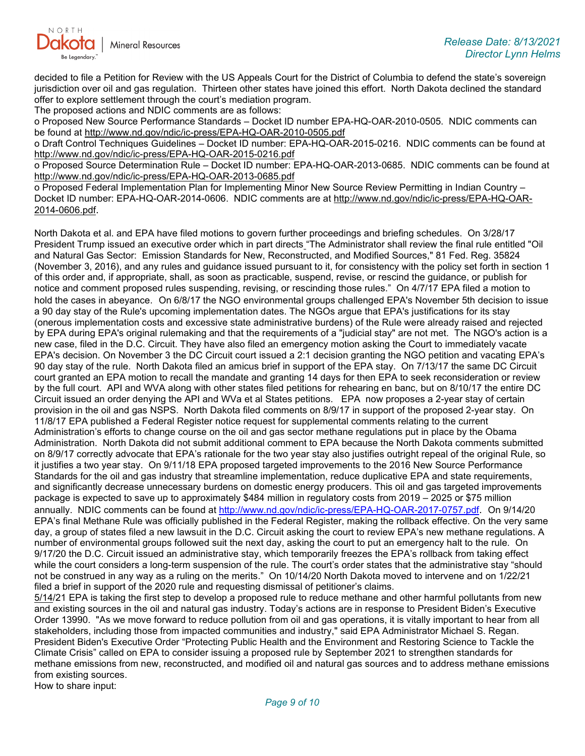

decided to file a Petition for Review with the US Appeals Court for the District of Columbia to defend the state's sovereign jurisdiction over oil and gas regulation. Thirteen other states have joined this effort. North Dakota declined the standard offer to explore settlement through the court's mediation program.

The proposed actions and NDIC comments are as follows:

o Proposed New Source Performance Standards – Docket ID number EPA-HQ-OAR-2010-0505. NDIC comments can be found at<http://www.nd.gov/ndic/ic-press/EPA-HQ-OAR-2010-0505.pdf>

o Draft Control Techniques Guidelines – Docket ID number: EPA-HQ-OAR-2015-0216. NDIC comments can be found at <http://www.nd.gov/ndic/ic-press/EPA-HQ-OAR-2015-0216.pdf>

o Proposed Source Determination Rule – Docket ID number: EPA-HQ-OAR-2013-0685. NDIC comments can be found at <http://www.nd.gov/ndic/ic-press/EPA-HQ-OAR-2013-0685.pdf>

o Proposed Federal Implementation Plan for Implementing Minor New Source Review Permitting in Indian Country – Docket ID number: EPA-HQ-OAR-2014-0606. NDIC comments are at [http://www.nd.gov/ndic/ic-press/EPA-HQ-OAR-](http://www.nd.gov/ndic/ic-press/EPA-HQ-OAR-2014-0606.pdf)[2014-0606.pdf.](http://www.nd.gov/ndic/ic-press/EPA-HQ-OAR-2014-0606.pdf)

North Dakota et al. and EPA have filed motions to govern further proceedings and briefing schedules. On 3/28/17 President Trump issued an executive order which in part directs "The Administrator shall review the final rule entitled "Oil and Natural Gas Sector: Emission Standards for New, Reconstructed, and Modified Sources," 81 Fed. Reg. 35824 (November 3, 2016), and any rules and guidance issued pursuant to it, for consistency with the policy set forth in section 1 of this order and, if appropriate, shall, as soon as practicable, suspend, revise, or rescind the guidance, or publish for notice and comment proposed rules suspending, revising, or rescinding those rules." On 4/7/17 EPA filed a motion to hold the cases in abeyance. On 6/8/17 the NGO environmental groups challenged EPA's November 5th decision to issue a 90 day stay of the Rule's upcoming implementation dates. The NGOs argue that EPA's justifications for its stay (onerous implementation costs and excessive state administrative burdens) of the Rule were already raised and rejected by EPA during EPA's original rulemaking and that the requirements of a "judicial stay" are not met. The NGO's action is a new case, filed in the D.C. Circuit. They have also filed an emergency motion asking the Court to immediately vacate EPA's decision. On November 3 the DC Circuit court issued a 2:1 decision granting the NGO petition and vacating EPA's 90 day stay of the rule. North Dakota filed an amicus brief in support of the EPA stay. On 7/13/17 the same DC Circuit court granted an EPA motion to recall the mandate and granting 14 days for then EPA to seek reconsideration or review by the full court. API and WVA along with other states filed petitions for rehearing en banc, but on 8/10/17 the entire DC Circuit issued an order denying the API and WVa et al States petitions. EPA now proposes a 2-year stay of certain provision in the oil and gas NSPS. North Dakota filed comments on 8/9/17 in support of the proposed 2-year stay. On 11/8/17 EPA published a Federal Register notice request for supplemental comments relating to the current Administration's efforts to change course on the oil and gas sector methane regulations put in place by the Obama Administration. North Dakota did not submit additional comment to EPA because the North Dakota comments submitted on 8/9/17 correctly advocate that EPA's rationale for the two year stay also justifies outright repeal of the original Rule, so it justifies a two year stay. On 9/11/18 EPA proposed targeted improvements to the 2016 New Source Performance Standards for the oil and gas industry that streamline implementation, reduce duplicative EPA and state requirements, and significantly decrease unnecessary burdens on domestic energy producers. This oil and gas targeted improvements package is expected to save up to approximately \$484 million in regulatory costs from 2019 – 2025 or \$75 million annually. NDIC comments can be found at [http://www.nd.gov/ndic/ic-press/EPA-HQ-OAR-2017-0757.pdf.](http://www.nd.gov/ndic/ic-press/EPA-HQ-OAR-2017-0757.pdf) On 9/14/20 EPA's final Methane Rule was officially published in the Federal Register, making the rollback effective. On the very same day, a group of states filed a new lawsuit in the D.C. Circuit asking the court to review EPA's new methane regulations. A number of environmental groups followed suit the next day, asking the court to put an emergency halt to the rule. On 9/17/20 the D.C. Circuit issued an administrative stay, which temporarily freezes the EPA's rollback from taking effect while the court considers a long-term suspension of the rule. The court's order states that the administrative stay "should not be construed in any way as a ruling on the merits." On 10/14/20 North Dakota moved to intervene and on 1/22/21 filed a brief in support of the 2020 rule and requesting dismissal of petitioner's claims.

5/14/21 EPA is taking the first step to develop a proposed rule to reduce methane and other harmful pollutants from new and existing sources in the oil and natural gas industry. Today's actions are in response to President Biden's Executive Order 13990. "As we move forward to reduce pollution from oil and gas operations, it is vitally important to hear from all stakeholders, including those from impacted communities and industry," said EPA Administrator Michael S. Regan. President Biden's Executive Order "Protecting Public Health and the Environment and Restoring Science to Tackle the Climate Crisis" called on EPA to consider issuing a proposed rule by September 2021 to strengthen standards for methane emissions from new, reconstructed, and modified oil and natural gas sources and to address methane emissions from existing sources.

How to share input: